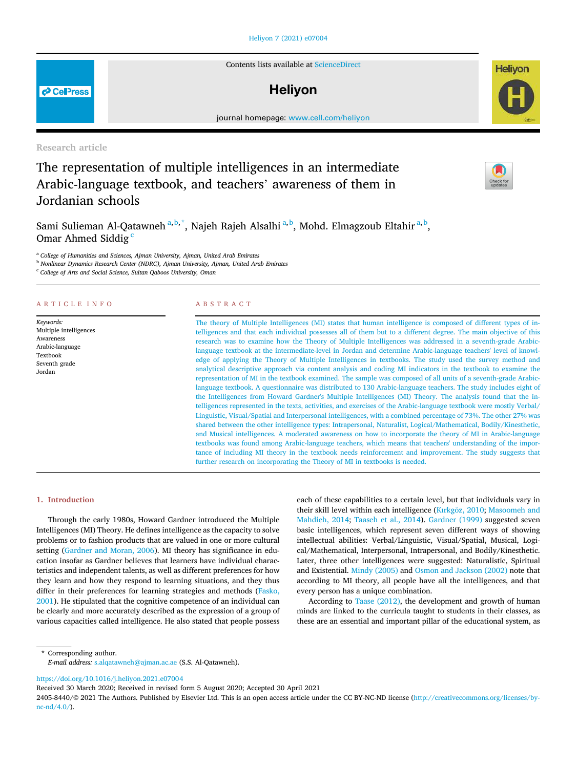# Heliyon 7 (2021) e07004

Contents lists available at ScienceDirect

# **Helivon**

journal homepage: www.cell.com/heliyon

Research article

# The representation of multiple intelligences in an intermediate Arabic-language textbook, and teachers' awareness of them in Jordanian schools

Sami Sulieman Al-Qatawneh<sup>a, b,\*</sup>, Najeh Rajeh Alsalhi<sup>a, b</sup>, Mohd. Elmagzoub Eltahir<sup>a, b</sup>, Omar Ahmed Siddig<sup>c</sup>

<sup>a</sup> *College of Humanities and Sciences, Ajman University, Ajman, United Arab Emirates*

<sup>b</sup> *Nonlinear Dynamics Research Center (NDRC), Ajman University, Ajman, United Arab Emirates*

<sup>c</sup> *College of Arts and Social Science, Sultan Qaboos University, Oman*

# ARTICLE INFO

*Keywords:* Multiple intelligences Awareness Arabic-language Textbook Seventh grade Jordan

# ABSTRACT

The theory of Multiple Intelligences (MI) states that human intelligence is composed of different types of intelligences and that each individual possesses all of them but to a different degree. The main objective of this research was to examine how the Theory of Multiple Intelligences was addressed in a seventh-grade Arabiclanguage textbook at the intermediate-level in Jordan and determine Arabic-language teachers' level of knowledge of applying the Theory of Multiple Intelligences in textbooks. The study used the survey method and analytical descriptive approach via content analysis and coding MI indicators in the textbook to examine the representation of MI in the textbook examined. The sample was composed of all units of a seventh-grade Arabiclanguage textbook. A questionnaire was distributed to 130 Arabic-language teachers. The study includes eight of the Intelligences from Howard Gardner's Multiple Intelligences (MI) Theory. The analysis found that the intelligences represented in the texts, activities, and exercises of the Arabic-language textbook were mostly Verbal/ Linguistic, Visual/Spatial and Interpersonal intelligences, with a combined percentage of 73%. The other 27% was shared between the other intelligence types: Intrapersonal, Naturalist, Logical/Mathematical, Bodily/Kinesthetic, and Musical intelligences. A moderated awareness on how to incorporate the theory of MI in Arabic-language textbooks was found among Arabic-language teachers, which means that teachers' understanding of the importance of including MI theory in the textbook needs reinforcement and improvement. The study suggests that further research on incorporating the Theory of MI in textbooks is needed.

# 1. Introduction

Through the early 1980s, Howard Gardner introduced the Multiple Intelligences (MI) Theory. He defines intelligence as the capacity to solve problems or to fashion products that are valued in one or more cultural setting (Gardner and Moran, 2006). MI theory has significance in education insofar as Gardner believes that learners have individual characteristics and independent talents, as well as different preferences for how they learn and how they respond to learning situations, and they thus differ in their preferences for learning strategies and methods (Fasko, 2001). He stipulated that the cognitive competence of an individual can be clearly and more accurately described as the expression of a group of various capacities called intelligence. He also stated that people possess each of these capabilities to a certain level, but that individuals vary in their skill level within each intelligence (Kırkgöz, 2010; Masoomeh and Mahdieh, 2014; Taaseh et al., 2014). Gardner (1999) suggested seven basic intelligences, which represent seven different ways of showing intellectual abilities: Verbal/Linguistic, Visual/Spatial, Musical, Logical/Mathematical, Interpersonal, Intrapersonal, and Bodily/Kinesthetic. Later, three other intelligences were suggested: Naturalistic, Spiritual and Existential. Mindy (2005) and Osmon and Jackson (2002) note that according to MI theory, all people have all the intelligences, and that every person has a unique combination.

According to Taase (2012), the development and growth of human minds are linked to the curricula taught to students in their classes, as these are an essential and important pillar of the educational system, as

\* Corresponding author. *E-mail address:* s.alqatawneh@ajman.ac.ae (S.S. Al-Qatawneh).

https://doi.org/10.1016/j.heliyon.2021.e07004

Received 30 March 2020; Received in revised form 5 August 2020; Accepted 30 April 2021

2405-8440/© 2021 The Authors. Published by Elsevier Ltd. This is an open access article under the CC BY-NC-ND license (http://creativecommons.org/licenses/by $nc-nd/4.0/$ ).





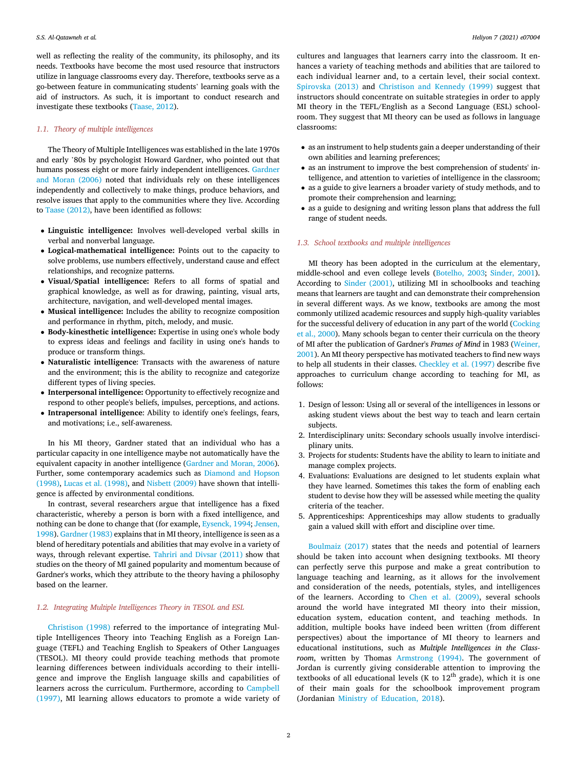well as reflecting the reality of the community, its philosophy, and its needs. Textbooks have become the most used resource that instructors utilize in language classrooms every day. Therefore, textbooks serve as a go-between feature in communicating students' learning goals with the aid of instructors. As such, it is important to conduct research and investigate these textbooks (Taase, 2012).

# *1.1. Theory of multiple intelligences*

The Theory of Multiple Intelligences was established in the late 1970s and early '80s by psychologist Howard Gardner, who pointed out that humans possess eight or more fairly independent intelligences. Gardner and Moran (2006) noted that individuals rely on these intelligences independently and collectively to make things, produce behaviors, and resolve issues that apply to the communities where they live. According to Taase (2012), have been identified as follows:

- Linguistic intelligence: Involves well-developed verbal skills in verbal and nonverbal language.
- Logical-mathematical intelligence: Points out to the capacity to solve problems, use numbers effectively, understand cause and effect relationships, and recognize patterns.
- Visual/Spatial intelligence: Refers to all forms of spatial and graphical knowledge, as well as for drawing, painting, visual arts, architecture, navigation, and well-developed mental images.
- Musical intelligence: Includes the ability to recognize composition and performance in rhythm, pitch, melody, and music.
- Body-kinesthetic intelligence: Expertise in using one's whole body to express ideas and feelings and facility in using one's hands to produce or transform things.
- Naturalistic intelligence: Transacts with the awareness of nature and the environment; this is the ability to recognize and categorize different types of living species.
- Interpersonal intelligence: Opportunity to effectively recognize and respond to other people's beliefs, impulses, perceptions, and actions.
- Intrapersonal intelligence: Ability to identify one's feelings, fears, and motivations; i.e., self-awareness.

In his MI theory, Gardner stated that an individual who has a particular capacity in one intelligence maybe not automatically have the equivalent capacity in another intelligence (Gardner and Moran, 2006). Further, some contemporary academics such as Diamond and Hopson (1998), Lucas et al. (1998), and Nisbett (2009) have shown that intelligence is affected by environmental conditions.

In contrast, several researchers argue that intelligence has a fixed characteristic, whereby a person is born with a fixed intelligence, and nothing can be done to change that (for example, Eysenck, 1994; Jensen, 1998). Gardner (1983) explains that in MI theory, intelligence is seen as a blend of hereditary potentials and abilities that may evolve in a variety of ways, through relevant expertise. Tahriri and Divsar (2011) show that studies on the theory of MI gained popularity and momentum because of Gardner's works, which they attribute to the theory having a philosophy based on the learner.

# *1.2. Integrating Multiple Intelligences Theory in TESOL and ESL*

Christison (1998) referred to the importance of integrating Multiple Intelligences Theory into Teaching English as a Foreign Language (TEFL) and Teaching English to Speakers of Other Languages (TESOL). MI theory could provide teaching methods that promote learning differences between individuals according to their intelligence and improve the English language skills and capabilities of learners across the curriculum. Furthermore, according to Campbell (1997), MI learning allows educators to promote a wide variety of

cultures and languages that learners carry into the classroom. It enhances a variety of teaching methods and abilities that are tailored to each individual learner and, to a certain level, their social context. Spirovska (2013) and Christison and Kennedy (1999) suggest that instructors should concentrate on suitable strategies in order to apply MI theory in the TEFL/English as a Second Language (ESL) schoolroom. They suggest that MI theory can be used as follows in language classrooms:

- as an instrument to help students gain a deeper understanding of their own abilities and learning preferences;
- as an instrument to improve the best comprehension of students' intelligence, and attention to varieties of intelligence in the classroom;
- as a guide to give learners a broader variety of study methods, and to promote their comprehension and learning;
- as a guide to designing and writing lesson plans that address the full range of student needs.

# *1.3. School textbooks and multiple intelligences*

MI theory has been adopted in the curriculum at the elementary, middle-school and even college levels (Botelho, 2003; Sinder, 2001). According to Sinder (2001), utilizing MI in schoolbooks and teaching means that learners are taught and can demonstrate their comprehension in several different ways. As we know, textbooks are among the most commonly utilized academic resources and supply high-quality variables for the successful delivery of education in any part of the world (Cocking et al., 2000). Many schools began to center their curricula on the theory of MI after the publication of Gardner's *Frames of Mind* in 1983 (Weiner, 2001). An MI theory perspective has motivated teachers to find new ways to help all students in their classes. Checkley et al. (1997) describe five approaches to curriculum change according to teaching for MI, as follows:

- 1. Design of lesson: Using all or several of the intelligences in lessons or asking student views about the best way to teach and learn certain subjects.
- 2. Interdisciplinary units: Secondary schools usually involve interdisciplinary units.
- 3. Projects for students: Students have the ability to learn to initiate and manage complex projects.
- 4. Evaluations: Evaluations are designed to let students explain what they have learned. Sometimes this takes the form of enabling each student to devise how they will be assessed while meeting the quality criteria of the teacher.
- 5. Apprenticeships: Apprenticeships may allow students to gradually gain a valued skill with effort and discipline over time.

Boulmaiz (2017) states that the needs and potential of learners should be taken into account when designing textbooks. MI theory can perfectly serve this purpose and make a great contribution to language teaching and learning, as it allows for the involvement and consideration of the needs, potentials, styles, and intelligences of the learners. According to Chen et al. (2009), several schools around the world have integrated MI theory into their mission, education system, education content, and teaching methods. In addition, multiple books have indeed been written (from different perspectives) about the importance of MI theory to learners and educational institutions, such as *Multiple Intelligences in the Classroom*, written by Thomas Armstrong (1994). The government of Jordan is currently giving considerable attention to improving the textbooks of all educational levels (K to  $12<sup>th</sup>$  grade), which it is one of their main goals for the schoolbook improvement program (Jordanian Ministry of Education, 2018).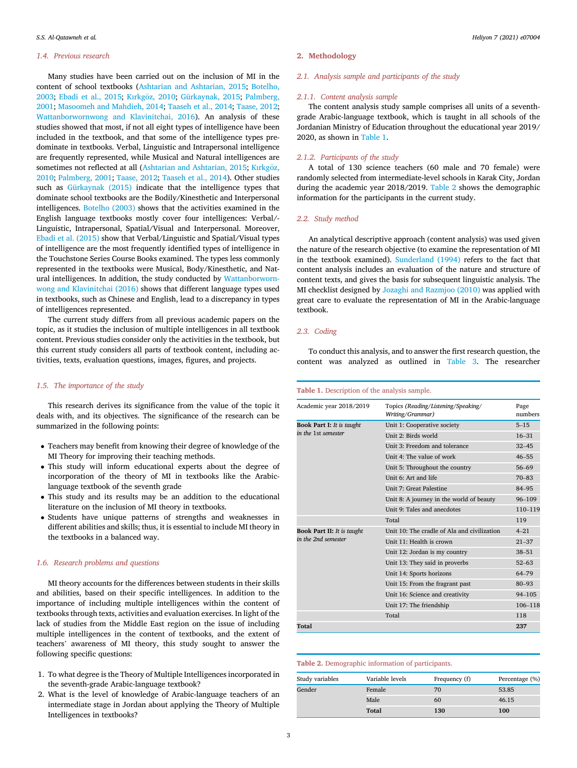### *1.4. Previous research*

Many studies have been carried out on the inclusion of MI in the content of school textbooks (Ashtarian and Ashtarian, 2015; Botelho, 2003; Ebadi et al., 2015; Kırkgöz, 2010; Gürkaynak, 2015; Palmberg, 2001; Masoomeh and Mahdieh, 2014; Taaseh et al., 2014; Taase, 2012; Wattanborwornwong and Klavinitchai, 2016). An analysis of these studies showed that most, if not all eight types of intelligence have been included in the textbook, and that some of the intelligence types predominate in textbooks. Verbal, Linguistic and Intrapersonal intelligence are frequently represented, while Musical and Natural intelligences are sometimes not reflected at all (Ashtarian and Ashtarian, 2015; Kırkgöz, 2010; Palmberg, 2001; Taase, 2012; Taaseh et al., 2014). Other studies such as Gürkaynak (2015) indicate that the intelligence types that dominate school textbooks are the Bodily/Kinesthetic and Interpersonal intelligences. Botelho (2003) shows that the activities examined in the English language textbooks mostly cover four intelligences: Verbal/- Linguistic, Intrapersonal, Spatial/Visual and Interpersonal. Moreover, Ebadi et al. (2015) show that Verbal/Linguistic and Spatial/Visual types of intelligence are the most frequently identified types of intelligence in the Touchstone Series Course Books examined. The types less commonly represented in the textbooks were Musical, Body/Kinesthetic, and Natural intelligences. In addition, the study conducted by Wattanborwornwong and Klavinitchai (2016) shows that different language types used in textbooks, such as Chinese and English, lead to a discrepancy in types of intelligences represented.

The current study differs from all previous academic papers on the topic, as it studies the inclusion of multiple intelligences in all textbook content. Previous studies consider only the activities in the textbook, but this current study considers all parts of textbook content, including activities, texts, evaluation questions, images, figures, and projects.

# *1.5. The importance of the study*

This research derives its significance from the value of the topic it deals with, and its objectives. The significance of the research can be summarized in the following points:

- Teachers may benefit from knowing their degree of knowledge of the MI Theory for improving their teaching methods.
- This study will inform educational experts about the degree of incorporation of the theory of MI in textbooks like the Arabiclanguage textbook of the seventh grade
- This study and its results may be an addition to the educational literature on the inclusion of MI theory in textbooks.
- Students have unique patterns of strengths and weaknesses in different abilities and skills; thus, it is essential to include MI theory in the textbooks in a balanced way.

# *1.6. Research problems and questions*

MI theory accounts for the differences between students in their skills and abilities, based on their specific intelligences. In addition to the importance of including multiple intelligences within the content of textbooks through texts, activities and evaluation exercises. In light of the lack of studies from the Middle East region on the issue of including multiple intelligences in the content of textbooks, and the extent of teachers' awareness of MI theory, this study sought to answer the following specific questions:

- 1. To what degree is the Theory of Multiple Intelligences incorporated in the seventh-grade Arabic-language textbook?
- 2. What is the level of knowledge of Arabic-language teachers of an intermediate stage in Jordan about applying the Theory of Multiple Intelligences in textbooks?

# 2. Methodology

# *2.1. Analysis sample and participants of the study*

# *2.1.1. Content analysis sample*

The content analysis study sample comprises all units of a seventhgrade Arabic-language textbook, which is taught in all schools of the Jordanian Ministry of Education throughout the educational year 2019/ 2020, as shown in Table 1.

# *2.1.2. Participants of the study*

A total of 130 science teachers (60 male and 70 female) were randomly selected from intermediate-level schools in Karak City, Jordan during the academic year 2018/2019. Table 2 shows the demographic information for the participants in the current study.

# *2.2. Study method*

An analytical descriptive approach (content analysis) was used given the nature of the research objective (to examine the representation of MI in the textbook examined). Sunderland (1994) refers to the fact that content analysis includes an evaluation of the nature and structure of content texts, and gives the basis for subsequent linguistic analysis. The MI checklist designed by Jozaghi and Razmjoo (2010) was applied with great care to evaluate the representation of MI in the Arabic-language textbook.

# *2.3. Coding*

To conduct this analysis, and to answer the first research question, the content was analyzed as outlined in Table 3. The researcher

# Table 1. Description of the analysis sample.

| Academic year 2018/2019           | Topics (Reading/Listening/Speaking/         | Page       |
|-----------------------------------|---------------------------------------------|------------|
|                                   | Writing/Grammar)                            | numbers    |
| <b>Book Part I:</b> It is taught  | Unit 1: Cooperative society                 | $5 - 15$   |
| in the 1st semester               | Unit 2: Birds world                         | $16 - 31$  |
|                                   | Unit 3: Freedom and tolerance               | $32 - 45$  |
|                                   | Unit 4: The value of work                   | $46 - 55$  |
|                                   | Unit 5: Throughout the country              | $56 - 69$  |
|                                   | Unit 6: Art and life                        | $70 - 83$  |
|                                   | Unit 7: Great Palestine                     | 84-95      |
|                                   | Unit 8: A journey in the world of beauty    | $96 - 109$ |
|                                   | Unit 9: Tales and anecdotes                 | 110-119    |
|                                   | Total                                       | 119        |
| <b>Book Part II: It is taught</b> | Unit 10: The cradle of Ala and civilization | $4 - 21$   |
| in the 2nd semester               | Unit 11: Health is crown                    | $21 - 37$  |
|                                   | Unit 12: Jordan is my country               | $38 - 51$  |
|                                   | Unit 13: They said in proverbs              | $52 - 63$  |
|                                   | Unit 14: Sports horizons                    | 64-79      |
|                                   | Unit 15: From the fragrant past             | $80 - 93$  |
|                                   | Unit 16: Science and creativity             | $94 - 105$ |
|                                   | Unit 17: The friendship                     | 106-118    |
|                                   | Total                                       | 118        |
| Total                             |                                             | 237        |

# Table 2. Demographic information of participants.

| Study variables | Variable levels | Frequency (f) | Percentage (%) |
|-----------------|-----------------|---------------|----------------|
| Gender          | Female          | 70            | 53.85          |
|                 | Male            | 60            | 46.15          |
|                 | <b>Total</b>    | 130           | 100            |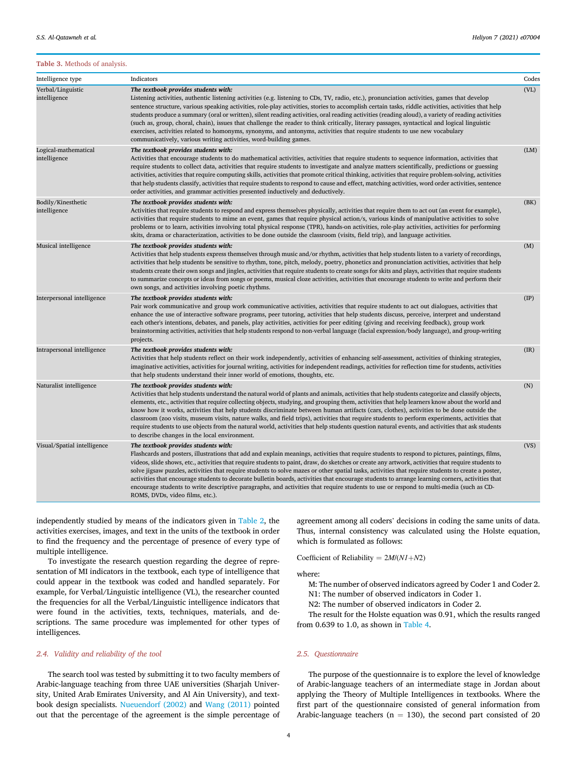# Table 3. Methods of analysis.

| Intelligence type                    | Indicators                                                                                                                                                                                                                                                                                                                                                                                                                                                                                                                                                                                                                                                                                                                                                                                                                                        | Codes         |
|--------------------------------------|---------------------------------------------------------------------------------------------------------------------------------------------------------------------------------------------------------------------------------------------------------------------------------------------------------------------------------------------------------------------------------------------------------------------------------------------------------------------------------------------------------------------------------------------------------------------------------------------------------------------------------------------------------------------------------------------------------------------------------------------------------------------------------------------------------------------------------------------------|---------------|
| Verbal/Linguistic<br>intelligence    | The textbook provides students with:<br>Listening activities, authentic listening activities (e.g. listening to CDs, TV, radio, etc.), pronunciation activities, games that develop<br>sentence structure, various speaking activities, role-play activities, stories to accomplish certain tasks, riddle activities, activities that help<br>students produce a summary (oral or written), silent reading activities, oral reading activities (reading aloud), a variety of reading activities<br>(such as, group, choral, chain), issues that challenge the reader to think critically, literary passages, syntactical and logical linguistic<br>exercises, activities related to homonyms, synonyms, and antonyms, activities that require students to use new vocabulary<br>communicatively, various writing activities, word-building games. | (VL)          |
| Logical-mathematical<br>intelligence | The textbook provides students with:<br>Activities that encourage students to do mathematical activities, activities that require students to sequence information, activities that<br>require students to collect data, activities that require students to investigate and analyze matters scientifically, predictions or guessing<br>activities, activities that require computing skills, activities that promote critical thinking, activities that require problem-solving, activities<br>that help students classify, activities that require students to respond to cause and effect, matching activities, word order activities, sentence<br>order activities, and grammar activities presented inductively and deductively.                                                                                                             | (LM)          |
| Bodily/Kinesthetic<br>intelligence   | The textbook provides students with:<br>Activities that require students to respond and express themselves physically, activities that require them to act out (an event for example),<br>activities that require students to mime an event, games that require physical action/s, various kinds of manipulative activities to solve<br>problems or to learn, activities involving total physical response (TPR), hands-on activities, role-play activities, activities for performing<br>skits, drama or characterization, activities to be done outside the classroom (visits, field trip), and language activities.                                                                                                                                                                                                                            | (BK)          |
| Musical intelligence                 | The textbook provides students with:<br>Activities that help students express themselves through music and/or rhythm, activities that help students listen to a variety of recordings,<br>activities that help students be sensitive to rhythm, tone, pitch, melody, poetry, phonetics and pronunciation activities, activities that help<br>students create their own songs and jingles, activities that require students to create songs for skits and plays, activities that require students<br>to summarize concepts or ideas from songs or poems, musical cloze activities, activities that encourage students to write and perform their<br>own songs, and activities involving poetic rhythms.                                                                                                                                            | (M)           |
| Interpersonal intelligence           | The textbook provides students with:<br>Pair work communicative and group work communicative activities, activities that require students to act out dialogues, activities that<br>enhance the use of interactive software programs, peer tutoring, activities that help students discuss, perceive, interpret and understand<br>each other's intentions, debates, and panels, play activities, activities for peer editing (giving and receiving feedback), group work<br>brainstorming activities, activities that help students respond to non-verbal language (facial expression/body language), and group-writing<br>projects.                                                                                                                                                                                                               | $(\text{IP})$ |
| Intrapersonal intelligence           | The textbook provides students with:<br>Activities that help students reflect on their work independently, activities of enhancing self-assessment, activities of thinking strategies,<br>imaginative activities, activities for journal writing, activities for independent readings, activities for reflection time for students, activities<br>that help students understand their inner world of emotions, thoughts, etc.                                                                                                                                                                                                                                                                                                                                                                                                                     | (IR)          |
| Naturalist intelligence              | The textbook provides students with:<br>Activities that help students understand the natural world of plants and animals, activities that help students categorize and classify objects,<br>elements, etc., activities that require collecting objects, studying, and grouping them, activities that help learners know about the world and<br>know how it works, activities that help students discriminate between human artifacts (cars, clothes), activities to be done outside the<br>classroom (zoo visits, museum visits, nature walks, and field trips), activities that require students to perform experiments, activities that<br>require students to use objects from the natural world, activities that help students question natural events, and activities that ask students<br>to describe changes in the local environment.     | (N)           |
| Visual/Spatial intelligence          | The textbook provides students with:<br>Flashcards and posters, illustrations that add and explain meanings, activities that require students to respond to pictures, paintings, films,<br>videos, slide shows, etc., activities that require students to paint, draw, do sketches or create any artwork, activities that require students to<br>solve jigsaw puzzles, activities that require students to solve mazes or other spatial tasks, activities that require students to create a poster,<br>activities that encourage students to decorate bulletin boards, activities that encourage students to arrange learning corners, activities that<br>encourage students to write descriptive paragraphs, and activities that require students to use or respond to multi-media (such as CD-<br>ROMS, DVDs, video films, etc.).               | (VS)          |

independently studied by means of the indicators given in Table 2, the activities exercises, images, and text in the units of the textbook in order to find the frequency and the percentage of presence of every type of multiple intelligence.

To investigate the research question regarding the degree of representation of MI indicators in the textbook, each type of intelligence that could appear in the textbook was coded and handled separately. For example, for Verbal/Linguistic intelligence (VL), the researcher counted the frequencies for all the Verbal/Linguistic intelligence indicators that were found in the activities, texts, techniques, materials, and descriptions. The same procedure was implemented for other types of intelligences.

# *2.4. Validity and reliability of the tool*

The search tool was tested by submitting it to two faculty members of Arabic-language teaching from three UAE universities (Sharjah University, United Arab Emirates University, and Al Ain University), and textbook design specialists. Nueuendorf (2002) and Wang (2011) pointed out that the percentage of the agreement is the simple percentage of agreement among all coders' decisions in coding the same units of data. Thus, internal consistency was calculated using the Holste equation, which is formulated as follows:

Coefficient of Reliability =  $2M/(N1+N2)$ 

where:

- M: The number of observed indicators agreed by Coder 1 and Coder 2.
- N1: The number of observed indicators in Coder 1.
- N2: The number of observed indicators in Coder 2.

The result for the Holste equation was 0.91, which the results ranged from 0.639 to 1.0, as shown in Table 4.

#### *2.5. Questionnaire*

The purpose of the questionnaire is to explore the level of knowledge of Arabic-language teachers of an intermediate stage in Jordan about applying the Theory of Multiple Intelligences in textbooks. Where the first part of the questionnaire consisted of general information from Arabic-language teachers ( $n = 130$ ), the second part consisted of 20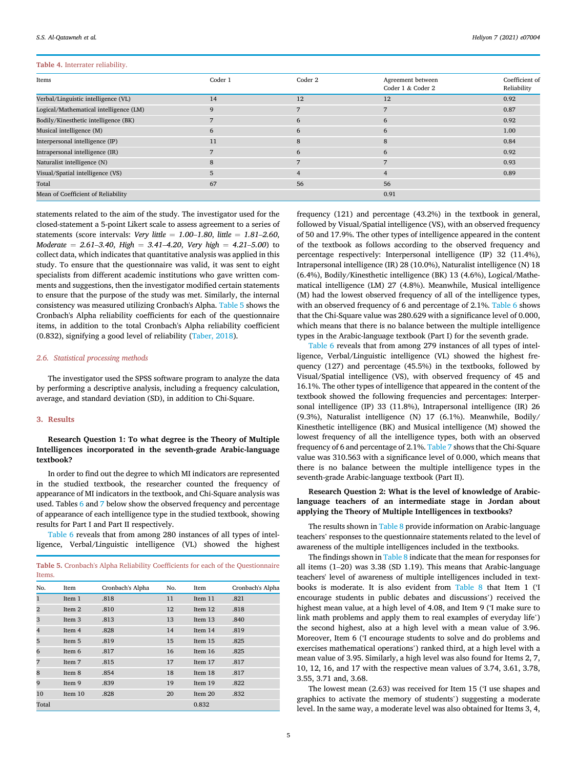# Table 4. Interrater reliability.

| Items                                  | Coder 1 | Coder 2        | Agreement between<br>Coder 1 & Coder 2 | Coefficient of<br>Reliability |
|----------------------------------------|---------|----------------|----------------------------------------|-------------------------------|
| Verbal/Linguistic intelligence (VL)    | 14      | 12             | 12                                     | 0.92                          |
| Logical/Mathematical intelligence (LM) | 9       |                |                                        | 0.87                          |
| Bodily/Kinesthetic intelligence (BK)   |         | 6              | 6                                      | 0.92                          |
| Musical intelligence (M)               | 6       | 6              | 6                                      | 1.00                          |
| Interpersonal intelligence (IP)        | 11      | 8              | 8                                      | 0.84                          |
| Intrapersonal intelligence (IR)        |         | 6              | 6                                      | 0.92                          |
| Naturalist intelligence (N)            | 8       |                |                                        | 0.93                          |
| Visual/Spatial intelligence (VS)       | 5       | $\overline{4}$ | 4                                      | 0.89                          |
| Total                                  | 67      | 56             | 56                                     |                               |
| Mean of Coefficient of Reliability     |         |                | 0.91                                   |                               |

statements related to the aim of the study. The investigator used for the closed-statement a 5-point Likert scale to assess agreement to a series of statements (score intervals: *Very little* =  $1.00-1.80$ , *little* =  $1.81-2.60$ ,  $Moderate = 2.61-3.40$ ,  $High = 3.41-4.20$ ,  $Very high = 4.21-5.00$  to collect data, which indicates that quantitative analysis was applied in this study. To ensure that the questionnaire was valid, it was sent to eight specialists from different academic institutions who gave written comments and suggestions, then the investigator modified certain statements to ensure that the purpose of the study was met. Similarly, the internal consistency was measured utilizing Cronbach's Alpha. Table 5 shows the Cronbach's Alpha reliability coefficients for each of the questionnaire items, in addition to the total Cronbach's Alpha reliability coefficient (0.832), signifying a good level of reliability (Taber, 2018).

# *2.6. Statistical processing methods*

The investigator used the SPSS software program to analyze the data by performing a descriptive analysis, including a frequency calculation, average, and standard deviation (SD), in addition to Chi-Square.

# 3. Results

# Research Question 1: To what degree is the Theory of Multiple Intelligences incorporated in the seventh-grade Arabic-language textbook?

In order to find out the degree to which MI indicators are represented in the studied textbook, the researcher counted the frequency of appearance of MI indicators in the textbook, and Chi-Square analysis was used. Tables 6 and 7 below show the observed frequency and percentage of appearance of each intelligence type in the studied textbook, showing results for Part I and Part II respectively.

Table 6 reveals that from among 280 instances of all types of intelligence, Verbal/Linguistic intelligence (VL) showed the highest

| Table 5. Cronbach's Alpha Reliability Coefficients for each of the Questionnaire<br>Items. |         |                  |     |         |                  |  |
|--------------------------------------------------------------------------------------------|---------|------------------|-----|---------|------------------|--|
| No.                                                                                        | Item    | Cronbach's Alpha | No. | Item    | Cronbach's Alpha |  |
| $\mathbf{1}$                                                                               | Item 1  | .818             | 11  | Item 11 | .821             |  |
| $\overline{2}$                                                                             | Item 2  | .810             | 12  | Item 12 | .818             |  |
| 3                                                                                          | Item 3  | .813             | 13  | Item 13 | .840             |  |
| $\overline{4}$                                                                             | Item 4  | .828             | 14  | Item 14 | .819             |  |
| 5                                                                                          | Item 5  | .819             | 15  | Item 15 | .825             |  |
| 6                                                                                          | Item 6  | .817             | 16  | Item 16 | .825             |  |
| 7                                                                                          | Item 7  | .815             | 17  | Item 17 | .817             |  |
| 8                                                                                          | Item 8  | .854             | 18  | Item 18 | .817             |  |
| 9                                                                                          | Item 9  | .839             | 19  | Item 19 | .822             |  |
| 10                                                                                         | Item 10 | .828             | 20  | Item 20 | .832             |  |
| Total                                                                                      |         |                  |     | 0.832   |                  |  |

frequency (121) and percentage (43.2%) in the textbook in general, followed by Visual/Spatial intelligence (VS), with an observed frequency of 50 and 17.9%. The other types of intelligence appeared in the content of the textbook as follows according to the observed frequency and percentage respectively: Interpersonal intelligence (IP) 32 (11.4%), Intrapersonal intelligence (IR) 28 (10.0%), Naturalist intelligence (N) 18 (6.4%), Bodily/Kinesthetic intelligence (BK) 13 (4.6%), Logical/Mathematical intelligence (LM) 27 (4.8%). Meanwhile, Musical intelligence (M) had the lowest observed frequency of all of the intelligence types, with an observed frequency of 6 and percentage of 2.1%. Table 6 shows that the Chi-Square value was 280.629 with a significance level of 0.000, which means that there is no balance between the multiple intelligence types in the Arabic-language textbook (Part I) for the seventh grade.

Table 6 reveals that from among 279 instances of all types of intelligence, Verbal/Linguistic intelligence (VL) showed the highest frequency (127) and percentage (45.5%) in the textbooks, followed by Visual/Spatial intelligence (VS), with observed frequency of 45 and 16.1%. The other types of intelligence that appeared in the content of the textbook showed the following frequencies and percentages: Interpersonal intelligence (IP) 33 (11.8%), Intrapersonal intelligence (IR) 26 (9.3%), Naturalist intelligence (N) 17 (6.1%). Meanwhile, Bodily/ Kinesthetic intelligence (BK) and Musical intelligence (M) showed the lowest frequency of all the intelligence types, both with an observed frequency of 6 and percentage of 2.1%. Table 7 shows that the Chi-Square value was 310.563 with a significance level of 0.000, which means that there is no balance between the multiple intelligence types in the seventh-grade Arabic-language textbook (Part II).

# Research Question 2: What is the level of knowledge of Arabiclanguage teachers of an intermediate stage in Jordan about applying the Theory of Multiple Intelligences in textbooks?

The results shown in Table 8 provide information on Arabic-language teachers' responses to the questionnaire statements related to the level of awareness of the multiple intelligences included in the textbooks.

The findings shown in Table 8 indicate that the mean for responses for all items (1–20) was 3.38 (SD 1.19). This means that Arabic-language teachers' level of awareness of multiple intelligences included in textbooks is moderate. It is also evident from Table 8 that Item 1 ('I encourage students in public debates and discussions') received the highest mean value, at a high level of 4.08, and Item 9 ('I make sure to link math problems and apply them to real examples of everyday life') the second highest, also at a high level with a mean value of 3.96. Moreover, Item 6 ('I encourage students to solve and do problems and exercises mathematical operations') ranked third, at a high level with a mean value of 3.95. Similarly, a high level was also found for Items 2, 7, 10, 12, 16, and 17 with the respective mean values of 3.74, 3.61, 3.78, 3.55, 3.71 and, 3.68.

The lowest mean (2.63) was received for Item 15 ('I use shapes and graphics to activate the memory of students') suggesting a moderate level. In the same way, a moderate level was also obtained for Items 3, 4,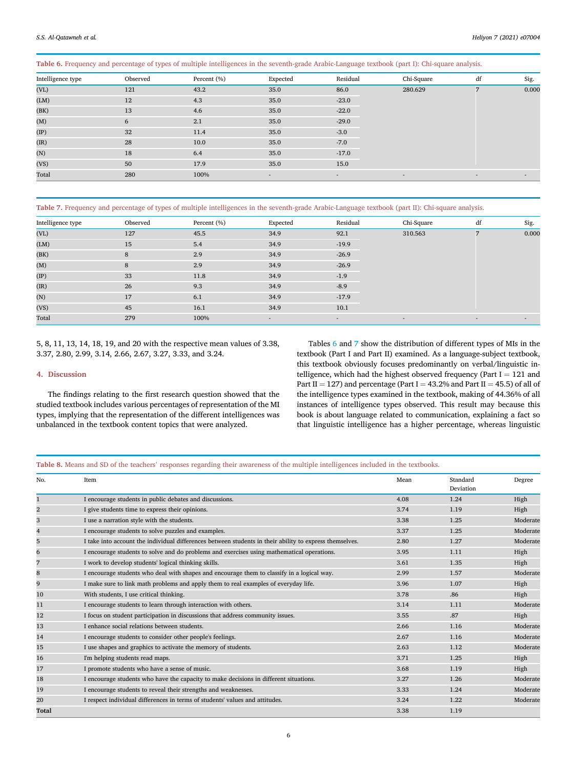Table 6. Frequency and percentage of types of multiple intelligences in the seventh-grade Arabic-Language textbook (part I): Chi-square analysis.

| Intelligence type | Observed | Percent (%) | Expected                 | Residual                 | Chi-Square               | df                       | Sig. |  |  |  |  |  |  |  |  |  |  |  |  |  |  |  |  |  |  |  |  |  |  |  |  |  |  |       |
|-------------------|----------|-------------|--------------------------|--------------------------|--------------------------|--------------------------|------|--|--|--|--|--|--|--|--|--|--|--|--|--|--|--|--|--|--|--|--|--|--|--|--|--|--|-------|
| (VL)              | 121      | 43.2        | 35.0                     | 86.0                     | 280.629                  | $\overline{ }$           |      |  |  |  |  |  |  |  |  |  |  |  |  |  |  |  |  |  |  |  |  |  |  |  |  |  |  | 0.000 |
| (LM)              | 12       | 4.3         | 35.0                     | $-23.0$                  |                          |                          |      |  |  |  |  |  |  |  |  |  |  |  |  |  |  |  |  |  |  |  |  |  |  |  |  |  |  |       |
| (BK)              | 13       | 4.6         | 35.0                     | $-22.0$                  |                          |                          |      |  |  |  |  |  |  |  |  |  |  |  |  |  |  |  |  |  |  |  |  |  |  |  |  |  |  |       |
| (M)               | 6        | 2.1         | 35.0                     | $-29.0$                  |                          |                          |      |  |  |  |  |  |  |  |  |  |  |  |  |  |  |  |  |  |  |  |  |  |  |  |  |  |  |       |
| $(\text{IP})$     | 32       | 11.4        | 35.0                     | $-3.0$                   |                          |                          |      |  |  |  |  |  |  |  |  |  |  |  |  |  |  |  |  |  |  |  |  |  |  |  |  |  |  |       |
| (IR)              | 28       | 10.0        | 35.0                     | $-7.0$                   |                          |                          |      |  |  |  |  |  |  |  |  |  |  |  |  |  |  |  |  |  |  |  |  |  |  |  |  |  |  |       |
| (N)               | 18       | 6.4         | 35.0                     | $-17.0$                  |                          |                          |      |  |  |  |  |  |  |  |  |  |  |  |  |  |  |  |  |  |  |  |  |  |  |  |  |  |  |       |
| (VS)              | 50       | 17.9        | 35.0                     | 15.0                     |                          |                          |      |  |  |  |  |  |  |  |  |  |  |  |  |  |  |  |  |  |  |  |  |  |  |  |  |  |  |       |
| Total             | 280      | 100%        | $\overline{\phantom{a}}$ | $\overline{\phantom{a}}$ | $\overline{\phantom{a}}$ | $\overline{\phantom{a}}$ | ٠    |  |  |  |  |  |  |  |  |  |  |  |  |  |  |  |  |  |  |  |  |  |  |  |  |  |  |       |

Table 7. Frequency and percentage of types of multiple intelligences in the seventh-grade Arabic-Language textbook (part II): Chi-square analysis.

| Intelligence type | Observed | Percent (%) | Expected | Residual                 | Chi-Square | df     | Sig.   |  |  |       |  |  |  |  |  |  |  |  |  |
|-------------------|----------|-------------|----------|--------------------------|------------|--------|--------|--|--|-------|--|--|--|--|--|--|--|--|--|
| (VL)              | 127      | 45.5        | 34.9     | 92.1                     | 310.563    |        |        |  |  | 0.000 |  |  |  |  |  |  |  |  |  |
| (LM)              | 15       | 5.4         | 34.9     | $-19.9$                  |            |        |        |  |  |       |  |  |  |  |  |  |  |  |  |
| (BK)              | 8        | 2.9         | 34.9     | $-26.9$                  |            |        |        |  |  |       |  |  |  |  |  |  |  |  |  |
| (M)               | 8        | 2.9         | 34.9     | $-26.9$                  |            |        |        |  |  |       |  |  |  |  |  |  |  |  |  |
| $(\text{IP})$     | 33       | 11.8        | 34.9     | $-1.9$                   |            |        |        |  |  |       |  |  |  |  |  |  |  |  |  |
| (IR)              | 26       | 9.3         | 34.9     | $-8.9$                   |            |        |        |  |  |       |  |  |  |  |  |  |  |  |  |
| (N)               | 17       | 6.1         | 34.9     | $-17.9$                  |            |        |        |  |  |       |  |  |  |  |  |  |  |  |  |
| (VS)              | 45       | 16.1        | 34.9     | 10.1                     |            |        |        |  |  |       |  |  |  |  |  |  |  |  |  |
| Total             | 279      | 100%        | $\sim$   | $\overline{\phantom{a}}$ | $\sim$     | $\sim$ | $\sim$ |  |  |       |  |  |  |  |  |  |  |  |  |

5, 8, 11, 13, 14, 18, 19, and 20 with the respective mean values of 3.38, 3.37, 2.80, 2.99, 3.14, 2.66, 2.67, 3.27, 3.33, and 3.24.

# 4. Discussion

The findings relating to the first research question showed that the studied textbook includes various percentages of representation of the MI types, implying that the representation of the different intelligences was unbalanced in the textbook content topics that were analyzed.

Tables 6 and 7 show the distribution of different types of MIs in the textbook (Part I and Part II) examined. As a language-subject textbook, this textbook obviously focuses predominantly on verbal/linguistic intelligence, which had the highest observed frequency (Part  $I = 121$  and Part II = 127) and percentage (Part I = 43.2% and Part II = 45.5) of all of the intelligence types examined in the textbook, making of 44.36% of all instances of intelligence types observed. This result may because this book is about language related to communication, explaining a fact so that linguistic intelligence has a higher percentage, whereas linguistic

Table 8. Means and SD of the teachers' responses regarding their awareness of the multiple intelligences included in the textbooks.

| No.            | Item                                                                                                    | Mean | Standard<br>Deviation | Degree   |
|----------------|---------------------------------------------------------------------------------------------------------|------|-----------------------|----------|
| 1              | I encourage students in public debates and discussions.                                                 | 4.08 | 1.24                  | High     |
| $\overline{2}$ | I give students time to express their opinions.                                                         | 3.74 | 1.19                  | High     |
| 3              | I use a narration style with the students.                                                              | 3.38 | 1.25                  | Moderate |
| 4              | I encourage students to solve puzzles and examples.                                                     | 3.37 | 1.25                  | Moderate |
| 5              | I take into account the individual differences between students in their ability to express themselves. | 2.80 | 1.27                  | Moderate |
| 6              | I encourage students to solve and do problems and exercises using mathematical operations.              | 3.95 | 1.11                  | High     |
| 7              | I work to develop students' logical thinking skills.                                                    | 3.61 | 1.35                  | High     |
| 8              | I encourage students who deal with shapes and encourage them to classify in a logical way.              | 2.99 | 1.57                  | Moderate |
| 9              | I make sure to link math problems and apply them to real examples of everyday life.                     | 3.96 | 1.07                  | High     |
| 10             | With students, I use critical thinking.                                                                 | 3.78 | .86                   | High     |
| 11             | I encourage students to learn through interaction with others.                                          | 3.14 | 1.11                  | Moderate |
| 12             | I focus on student participation in discussions that address community issues.                          | 3.55 | .87                   | High     |
| 13             | I enhance social relations between students.                                                            | 2.66 | 1.16                  | Moderate |
| 14             | I encourage students to consider other people's feelings.                                               | 2.67 | 1.16                  | Moderate |
| 15             | I use shapes and graphics to activate the memory of students.                                           | 2.63 | 1.12                  | Moderate |
| 16             | I'm helping students read maps.                                                                         | 3.71 | 1.25                  | High     |
| 17             | I promote students who have a sense of music.                                                           | 3.68 | 1.19                  | High     |
| 18             | I encourage students who have the capacity to make decisions in different situations.                   | 3.27 | 1.26                  | Moderate |
| 19             | I encourage students to reveal their strengths and weaknesses.                                          | 3.33 | 1.24                  | Moderate |
| 20             | I respect individual differences in terms of students' values and attitudes.                            | 3.24 | 1.22                  | Moderate |
| Total          |                                                                                                         | 3.38 | 1.19                  |          |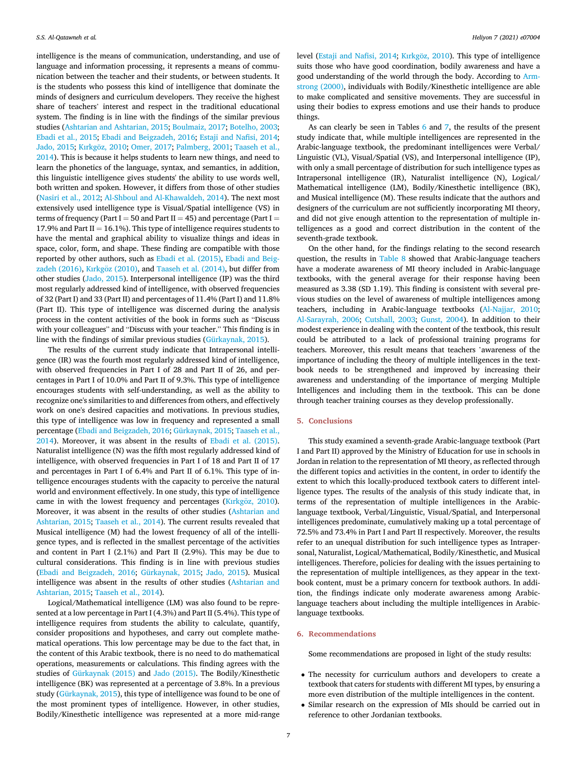intelligence is the means of communication, understanding, and use of language and information processing, it represents a means of communication between the teacher and their students, or between students. It is the students who possess this kind of intelligence that dominate the minds of designers and curriculum developers. They receive the highest share of teachers' interest and respect in the traditional educational system. The finding is in line with the findings of the similar previous studies (Ashtarian and Ashtarian, 2015; Boulmaiz, 2017; Botelho, 2003; Ebadi et al., 2015; Ebadi and Beigzadeh, 2016; Estaji and Nafisi, 2014; Jado, 2015; Kırkgöz, 2010; Omer, 2017; Palmberg, 2001; Taaseh et al., 2014). This is because it helps students to learn new things, and need to learn the phonetics of the language, syntax, and semantics, in addition, this linguistic intelligence gives students' the ability to use words well, both written and spoken. However, it differs from those of other studies (Nasiri et al., 2012; Al-Shboul and Al-Khawaldeh, 2014). The next most extensively used intelligence type is Visual/Spatial intelligence (VS) in terms of frequency (Part I = 50 and Part II = 45) and percentage (Part I = 17.9% and Part II = 16.1%). This type of intelligence requires students to have the mental and graphical ability to visualize things and ideas in space, color, form, and shape. These finding are compatible with those reported by other authors, such as Ebadi et al. (2015), Ebadi and Beigzadeh (2016), Kırkgöz (2010), and Taaseh et al. (2014), but differ from other studies (Jado, 2015). Interpersonal intelligence (IP) was the third most regularly addressed kind of intelligence, with observed frequencies of 32 (Part I) and 33 (Part II) and percentages of 11.4% (Part I) and 11.8% (Part II). This type of intelligence was discerned during the analysis process in the content activities of the book in forms such as "Discuss with your colleagues" and "Discuss with your teacher." This finding is in line with the findings of similar previous studies (Gürkaynak, 2015).

The results of the current study indicate that Intrapersonal intelligence (IR) was the fourth most regularly addressed kind of intelligence, with observed frequencies in Part I of 28 and Part II of 26, and percentages in Part I of 10.0% and Part II of 9.3%. This type of intelligence encourages students with self-understanding, as well as the ability to recognize one's similarities to and differences from others, and effectively work on one's desired capacities and motivations. In previous studies, this type of intelligence was low in frequency and represented a small percentage (Ebadi and Beigzadeh, 2016; Gürkaynak, 2015; Taaseh et al., 2014). Moreover, it was absent in the results of Ebadi et al. (2015). Naturalist intelligence (N) was the fifth most regularly addressed kind of intelligence, with observed frequencies in Part I of 18 and Part II of 17 and percentages in Part I of 6.4% and Part II of 6.1%. This type of intelligence encourages students with the capacity to perceive the natural world and environment effectively. In one study, this type of intelligence came in with the lowest frequency and percentages (Kırkgöz, 2010). Moreover, it was absent in the results of other studies (Ashtarian and Ashtarian, 2015; Taaseh et al., 2014). The current results revealed that Musical intelligence (M) had the lowest frequency of all of the intelligence types, and is reflected in the smallest percentage of the activities and content in Part I (2.1%) and Part II (2.9%). This may be due to cultural considerations. This finding is in line with previous studies (Ebadi and Beigzadeh, 2016; Gürkaynak, 2015; Jado, 2015). Musical intelligence was absent in the results of other studies (Ashtarian and Ashtarian, 2015; Taaseh et al., 2014).

Logical/Mathematical intelligence (LM) was also found to be represented at a low percentage in Part I (4.3%) and Part II (5.4%). This type of intelligence requires from students the ability to calculate, quantify, consider propositions and hypotheses, and carry out complete mathematical operations. This low percentage may be due to the fact that, in the content of this Arabic textbook, there is no need to do mathematical operations, measurements or calculations. This finding agrees with the studies of Gürkaynak (2015) and Jado (2015). The Bodily/Kinesthetic intelligence (BK) was represented at a percentage of 3.8%. In a previous study (Gürkaynak, 2015), this type of intelligence was found to be one of the most prominent types of intelligence. However, in other studies, Bodily/Kinesthetic intelligence was represented at a more mid-range

level (Estaji and Nafisi, 2014; Kırkgöz, 2010). This type of intelligence suits those who have good coordination, bodily awareness and have a good understanding of the world through the body. According to Armstrong (2000), individuals with Bodily/Kinesthetic intelligence are able to make complicated and sensitive movements. They are successful in using their bodies to express emotions and use their hands to produce things.

As can clearly be seen in Tables 6 and 7, the results of the present study indicate that, while multiple intelligences are represented in the Arabic-language textbook, the predominant intelligences were Verbal/ Linguistic (VL), Visual/Spatial (VS), and Interpersonal intelligence (IP), with only a small percentage of distribution for such intelligence types as Intrapersonal intelligence (IR), Naturalist intelligence (N), Logical/ Mathematical intelligence (LM), Bodily/Kinesthetic intelligence (BK), and Musical intelligence (M). These results indicate that the authors and designers of the curriculum are not sufficiently incorporating MI theory, and did not give enough attention to the representation of multiple intelligences as a good and correct distribution in the content of the seventh-grade textbook.

On the other hand, for the findings relating to the second research question, the results in Table 8 showed that Arabic-language teachers have a moderate awareness of MI theory included in Arabic-language textbooks, with the general average for their response having been measured as 3.38 (SD 1.19). This finding is consistent with several previous studies on the level of awareness of multiple intelligences among teachers, including in Arabic-language textbooks (Al-Najjar, 2010; Al-Sarayrah, 2006; Cutshall, 2003; Gunst, 2004). In addition to their modest experience in dealing with the content of the textbook, this result could be attributed to a lack of professional training programs for teachers. Moreover, this result means that teachers 'awareness of the importance of including the theory of multiple intelligences in the textbook needs to be strengthened and improved by increasing their awareness and understanding of the importance of merging Multiple Intelligences and including them in the textbook. This can be done through teacher training courses as they develop professionally.

### 5. Conclusions

This study examined a seventh-grade Arabic-language textbook (Part I and Part II) approved by the Ministry of Education for use in schools in Jordan in relation to the representation of MI theory, as reflected through the different topics and activities in the content, in order to identify the extent to which this locally-produced textbook caters to different intelligence types. The results of the analysis of this study indicate that, in terms of the representation of multiple intelligences in the Arabiclanguage textbook, Verbal/Linguistic, Visual/Spatial, and Interpersonal intelligences predominate, cumulatively making up a total percentage of 72.5% and 73.4% in Part I and Part II respectively. Moreover, the results refer to an unequal distribution for such intelligence types as Intrapersonal, Naturalist, Logical/Mathematical, Bodily/Kinesthetic, and Musical intelligences. Therefore, policies for dealing with the issues pertaining to the representation of multiple intelligences, as they appear in the textbook content, must be a primary concern for textbook authors. In addition, the findings indicate only moderate awareness among Arabiclanguage teachers about including the multiple intelligences in Arabiclanguage textbooks.

#### 6. Recommendations

Some recommendations are proposed in light of the study results:

- The necessity for curriculum authors and developers to create a textbook that caters for students with different MI types, by ensuring a more even distribution of the multiple intelligences in the content.
- Similar research on the expression of MIs should be carried out in reference to other Jordanian textbooks.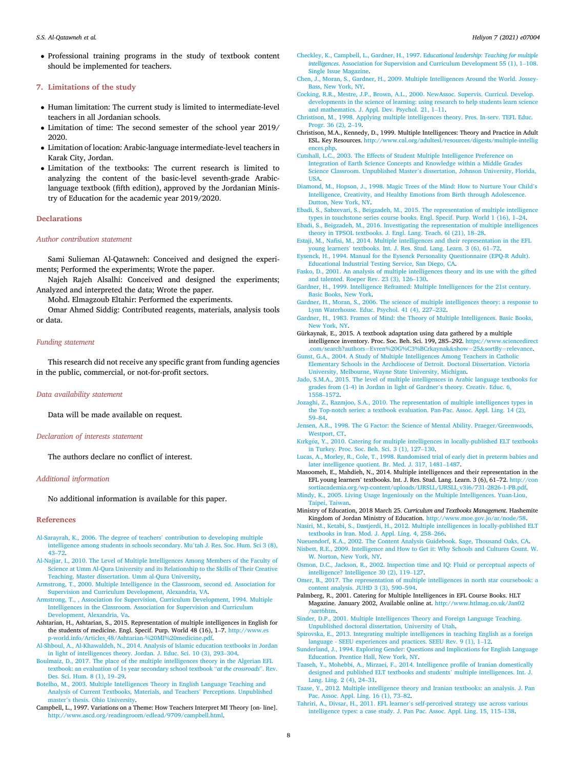Professional training programs in the study of textbook content should be implemented for teachers.

# 7. Limitations of the study

- Human limitation: The current study is limited to intermediate-level teachers in all Jordanian schools.
- Limitation of time: The second semester of the school year 2019/ 2020.
- Limitation of location: Arabic-language intermediate-level teachers in Karak City, Jordan.
- Limitation of the textbooks: The current research is limited to analyzing the content of the basic-level seventh-grade Arabiclanguage textbook (fifth edition), approved by the Jordanian Ministry of Education for the academic year 2019/2020.

### **Declarations**

#### *Author contribution statement*

Sami Sulieman Al-Qatawneh: Conceived and designed the experiments; Performed the experiments; Wrote the paper.

Najeh Rajeh Alsalhi: Conceived and designed the experiments; Analyzed and interpreted the data; Wrote the paper.

Mohd. Elmagzoub Eltahir: Performed the experiments.

Omar Ahmed Siddig: Contributed reagents, materials, analysis tools or data.

#### *Funding statement*

This research did not receive any specific grant from funding agencies in the public, commercial, or not-for-profit sectors.

# *Data availability statement*

Data will be made available on request.

#### *Declaration of interests statement*

The authors declare no conflict of interest.

# *Additional information*

No additional information is available for this paper.

#### References

- Al-Sarayrah, K., 2006. The degree of teachers' contribution to developing multiple intelligence among students in schools secondary. Mu'tah J. Res. Soc. Hum. Sci 3 (8), 43–72.
- Al-Najjar, I., 2010. The Level of Multiple Intelligences Among Members of the Faculty of Science at Umm Al-Qura University and its Relationship to the Skills of Their Creative Teaching. Master dissertation. Umm al-Qura University.
- Armstrong, T., 2000. Multiple Intelligence in the Classroom, second ed. Association for Supervision and Curriculum Development, Alexandria, VA.
- Armstrong, T., , Association for Supervision, Curriculum Development, 1994. Multiple Intelligences in the Classroom. Association for Supervision and Curriculum Development, Alexandria, Va.
- Ashtarian, H., Ashtarian, S., 2015. Representation of multiple intelligences in English for the students of medicine. Engl. Specif. Purp. World 48 (16), 1–7. http://www.es p-world.info/Articles\_48/Ashtarian-%20MI%20medicine.pdf.
- Al-Shboul, A., Al-Khawaldeh, N., 2014. Analysis of Islamic education textbooks in Jordan in light of intelligences theory. Jordan. J. Educ. Sci. 10 (3), 293–304.
- Boulmaiz, D., 2017. The place of the multiple intelligences theory in the Algerian EFL textbook: an evaluation of 1s year secondary school textbook "*at the crossroads*". Rev. Des. Sci. Hum. 8 (1), 19–29.
- Botelho, M., 2003. Multiple Intelligences Theory in English Language Teaching and Analysis of Current Textbooks, Materials, and Teachers' Perceptions. Unpublished master's thesis. Ohio University.
- Campbell, L., 1997. Variations on a Theme: How Teachers Interpret MI Theory [on- line]. http://www.ascd.org/readingroom/edlead/9709/campbell.html.
- Checkley, K., Campbell, L., Gardner, H., 1997. E*ducational leadership: Teaching for multiple intelligences*. Association for Supervision and Curriculum Development 55 (1), 1–108. Single Issue Magazine.
- Chen, J., Moran, S., Gardner, H., 2009. Multiple Intelligences Around the World. Jossey-Bass, New York, NY.
- Cocking, R.R., Mestre, J.P., Brown, A.L., 2000. NewAssoc. Supervis. Curricul. Develop. developments in the science of learning: using research to help students learn science and mathematics. J. Appl. Dev. Psychol. 21, 1–11.
- Christison, M., 1998. Applying multiple intelligences theory. Pres. In-serv. TEFL Educ. Progr. 36 (2), 2–19.
- Christison, M.A., Kennedy, D., 1999. Multiple Intelligences: Theory and Practice in Adult ESL. Key Resources. http://www.cal.org/adultesl/resources/digests/multiple-intellig ences.php.
- Cutshall, L.C., 2003. The Effects of Student Multiple Intelligence Preference on Integration of Earth Science Concepts and Knowledge within a Middle Grades Science Classroom. Unpublished Master's dissertation, Johnson University, Florida, USA.
- Diamond, M., Hopson, J., 1998. Magic Trees of the Mind: How to Nurture Your Child's Intelligence, Creativity, and Healthy Emotions from Birth through Adolescence. Dutton, New York, NY.
- Ebadi, S., Sabzevari, S., Beigzadeh, M., 2015. The representation of multiple intelligence types in touchstone series course books. Engl. Specif. Purp. World 1 (16), 1–24.
- Ebadi, S., Beigzadeh, M., 2016. Investigating the representation of multiple intelligences theory in TPSOL textbooks. J. Engl. Lang. Teach. 6l (21), 18–28.
- Estaji, M., Nafisi, M., 2014. Multiple intelligences and their representation in the EFL young learners' textbooks. Int. J. Res. Stud. Lang. Learn. 3 (6), 61–72.
- Eysenck, H., 1994. Manual for the Eysenck Personality Questionnaire (EPQ-R Adult). Educational Industrial Testing Service, San Diego, CA.
- Fasko, D., 2001. An analysis of multiple intelligences theory and its use with the gifted and talented. Roeper Rev. 23 (3), 126–130.
- Gardner, H., 1999. Intelligence Reframed: Multiple Intelligences for the 21st century. Basic Books, New York.
- Gardner, H., Moran, S., 2006. The science of multiple intelligences theory: a response to Lynn Waterhouse. Educ. Psychol. 41 (4), 227–232.
- Gardner, H., 1983. Frames of Mind: the Theory of Multiple Intelligences. Basic Books, New York, NY.
- Gürkaynak, E., 2015. A textbook adaptation using data gathered by a multiple intelligence inventory. Proc. Soc. Beh. Sci. 199, 285–292. https://www.sciencedirect .com/search?authors=Evren%20G%C3%BCrkaynak&show=25&sortBy=relevance.
- Gunst, G.A., 2004. A Study of Multiple Intelligences Among Teachers in Catholic Elementary Schools in the Archdiocese of Detroit. Doctoral Dissertation. Victoria University, Melbourne, Wayne State University, Michigan.
- Jado, S.M.A., 2015. The level of multiple intelligences in Arabic language textbooks for grades from (1-4) in Jordan in light of Gardner's theory. Creativ. Educ. 6, 1558–1572.
- Jozaghi, Z., Razmjoo, S.A., 2010. The representation of multiple intelligences types in the Top-notch series: a textbook evaluation. Pan-Pac. Assoc. Appl. Ling. 14 (2), 59–84.
- Jensen, A.R., 1998. The G Factor: the Science of Mental Ability. Praeger/Greenwoods, Westport, CT.
- Kırkgöz, Y., 2010. Catering for multiple intelligences in locally-published ELT textbooks in Turkey. Proc. Soc. Beh. Sci. 3 (1), 127–130.
- Lucas, A., Morley, R., Cole, T., 1998. Randomised trial of early diet in preterm babies and later intelligence quotient. Br. Med. J. 317, 1481–1487.
- Masoomeh, E., Mahdieh, N., 2014. Multiple intelligences and their representation in the EFL young learners' textbooks. Int. J. Res. Stud. Lang. Learn. 3 (6), 61–72. http://con sortiacademia.org/wp-content/uploads/IJRSLL/IJRSLL\_v3i6/731-2826-1-PB.pdf.
- Mindy, K., 2005. Living Usage Ingeniously on the Multiple Intelligences. Yuan-Liou, Taipei, Taiwan.
- Ministry of Education, 2018 March 25. *Curriculum and Textbooks Management*. Hashemite
- Kingdom of Jordan Ministry of Education. http://www.moe.gov.jo/ar/node/58. Nasiri, M., Ketabi, S., Dastjerdi, H., 2012. Multiple intelligences in locally-published ELT textbooks in Iran. Mod. J. Appl. Ling. 4, 258–266.
- Nueuendorf, K.A., 2002. The Content Analysis Guidebook. Sage, Thousand Oaks, CA. Nisbett, R.E., 2009. Intelligence and How to Get it: Why Schools and Cultures Count. W.
- W. Norton, New York, NY.
- Osmon, D.C., Jackson, R., 2002. Inspection time and IQ: Fluid or perceptual aspects of intelligence? Intelligence 30 (2), 119–127.
- Omer, B., 2017. The representation of multiple intelligences in north star coursebook: a content analysis. JUHD 3 (3), 590–594.
- Palmberg, R., 2001. Catering for Multiple Intelligences in EFL Course Books. HLT Magazine. January 2002, Available online at. http://www.htlmag.co.uk/Jan02 /sart6htm.
- Sinder, D.P., 2001. Multiple Intelligences Theory and Foreign Language Teaching. Unpublished doctoral dissertation, University of Utah.
- Spirovska, E., 2013. Integrating multiple intelligences in teaching English as a foreign language - SEEU experiences and practices. SEEU Rev. 9 (1), 1–12.
- Sunderland, J., 1994. Exploring Gender: Questions and Implications for English Language Education. Prentice Hall, New York, NY.
- Taaseh, Y., Mohebbi, A., Mirzaei, F., 2014. Intelligence profile of Iranian domestically designed and published ELT textbooks and students' multiple intelligences. Int. J. Lang. Ling. 2 (4), 24–31.
- Taase, Y., 2012. Multiple intelligence theory and Iranian textbooks: an analysis. J. Pan Pac. Assoc. Appl. Ling. 16 (1), 73–82.
- Tahriri, A., Divsar, H., 2011. EFL learner's self-perceived strategy use across various intelligence types: a case study. J. Pan Pac. Assoc. Appl. Ling. 15, 115–138.